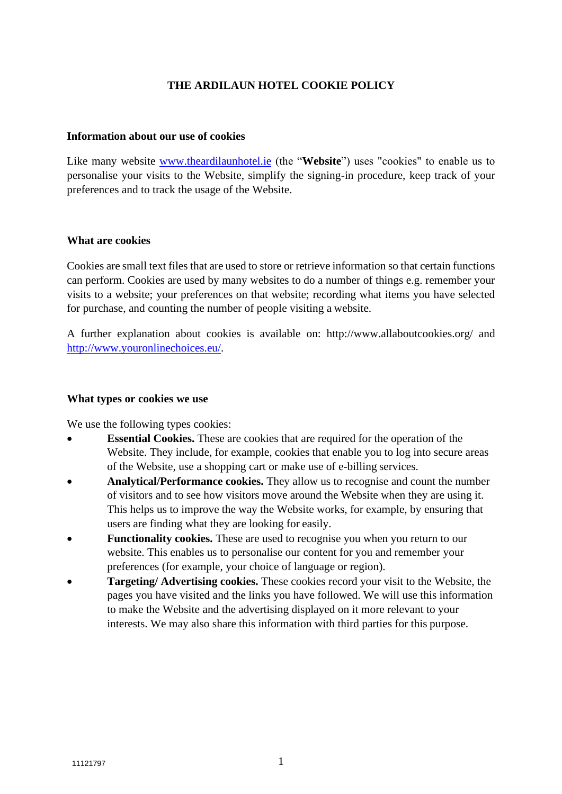## **[THE ARDILAUN HOTEL](http://www.flynnhotels.com/) COOKIE POLICY**

#### **Information about our use of cookies**

Like many website **www.theardilaunhotel.ie** (the "Website") uses "cookies" to enable us to personalise your visits to the Website, simplify the signing-in procedure, keep track of your preferences and to track the usage of the Website.

#### **What are cookies**

Cookies are small text files that are used to store or retrieve information so that certain functions can perform. Cookies are used by many websites to do a number of things e.g. remember your visits to a website; your preferences on that website; recording what items you have selected for purchase, and counting the number of people visiting a website.

A further explanation about cookies is available [on: http://www.allaboutcookies.org/](http://www.allaboutcookies.org/) and [http://www.youronlinechoices.eu/.](http://www.youronlinechoices.eu/)

### **What types or cookies we use**

We use the following types cookies:

- **Essential Cookies.** These are cookies that are required for the operation of the Website. They include, for example, cookies that enable you to log into secure areas of the Website, use a shopping cart or make use of e-billing services.
- **Analytical/Performance cookies.** They allow us to recognise and count the number of visitors and to see how visitors move around the Website when they are using it. This helps us to improve the way the Website works, for example, by ensuring that users are finding what they are looking for easily.
- **Functionality cookies.** These are used to recognise you when you return to our website. This enables us to personalise our content for you and remember your preferences (for example, your choice of language or region).
- **Targeting/ Advertising cookies.** These cookies record your visit to the Website, the pages you have visited and the links you have followed. We will use this information to make the Website and the advertising displayed on it more relevant to your interests. We may also share this information with third parties for this purpose.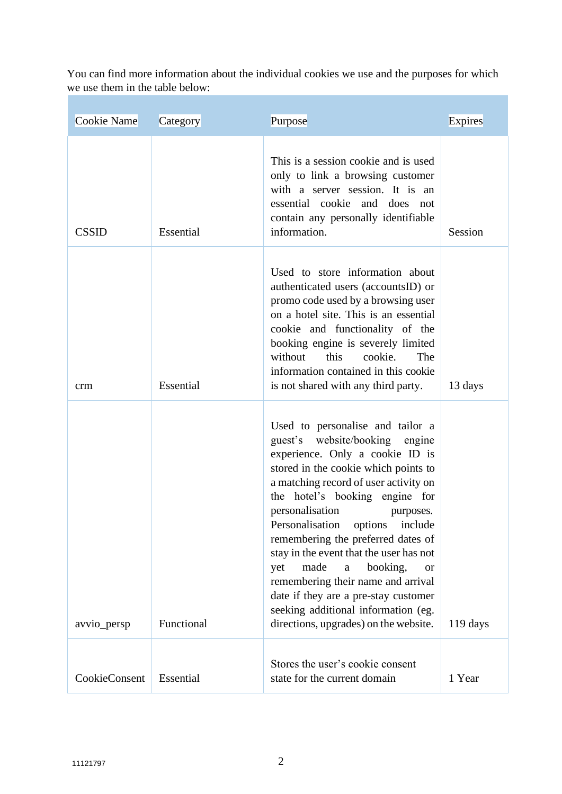You can find more information about the individual cookies we use and the purposes for which we use them in the table below:

| This is a session cookie and is used<br>only to link a browsing customer<br>with a server session. It is an                                                                                                                                                                                                                                                                                                                                                                                                                                                                                                                                   |  |
|-----------------------------------------------------------------------------------------------------------------------------------------------------------------------------------------------------------------------------------------------------------------------------------------------------------------------------------------------------------------------------------------------------------------------------------------------------------------------------------------------------------------------------------------------------------------------------------------------------------------------------------------------|--|
| essential cookie and does not<br>contain any personally identifiable<br>information.<br>Essential<br><b>CSSID</b><br>Session                                                                                                                                                                                                                                                                                                                                                                                                                                                                                                                  |  |
| Used to store information about<br>authenticated users (accountsID) or<br>promo code used by a browsing user<br>on a hotel site. This is an essential<br>cookie and functionality of the<br>booking engine is severely limited<br>The<br>without<br>this<br>cookie.<br>information contained in this cookie<br>Essential<br>is not shared with any third party.<br>13 days<br>crm                                                                                                                                                                                                                                                             |  |
| Used to personalise and tailor a<br>guest's website/booking<br>engine<br>experience. Only a cookie ID is<br>stored in the cookie which points to<br>a matching record of user activity on<br>the hotel's booking engine for<br>personalisation<br>purposes.<br>Personalisation options<br>include<br>remembering the preferred dates of<br>stay in the event that the user has not<br>made<br>booking,<br>$\rm{a}$<br>yet<br><b>or</b><br>remembering their name and arrival<br>date if they are a pre-stay customer<br>seeking additional information (eg.<br>Functional<br>directions, upgrades) on the website.<br>119 days<br>avvio_persp |  |
| Stores the user's cookie consent<br>Essential<br>CookieConsent<br>state for the current domain<br>1 Year                                                                                                                                                                                                                                                                                                                                                                                                                                                                                                                                      |  |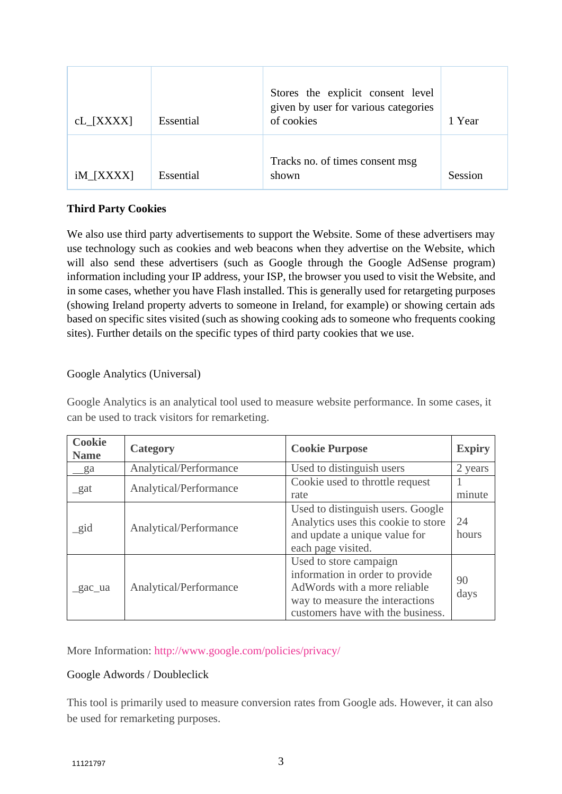| $cL$ [XXXX]       | Essential | Stores the explicit consent level<br>given by user for various categories<br>of cookies | 1 Year  |
|-------------------|-----------|-----------------------------------------------------------------------------------------|---------|
| $iM_{\text{X}XX}$ | Essential | Tracks no. of times consent msg<br>shown                                                | Session |

## **Third Party Cookies**

We also use third party advertisements to support the Website. Some of these advertisers may use technology such as cookies and web beacons when they advertise on the Website, which will also send these advertisers (such as Google through the Google AdSense program) information including your IP address, your ISP, the browser you used to visit the Website, and in some cases, whether you have Flash installed. This is generally used for retargeting purposes (showing Ireland property adverts to someone in Ireland, for example) or showing certain ads based on specific sites visited (such as showing cooking ads to someone who frequents cooking sites). Further details on the specific types of third party cookies that we use.

## Google Analytics (Universal)

Google Analytics is an analytical tool used to measure website performance. In some cases, it can be used to track visitors for remarketing.

| <b>Cookie</b><br><b>Name</b> | Category               | <b>Cookie Purpose</b>                                                                                                                                             | <b>Expiry</b> |
|------------------------------|------------------------|-------------------------------------------------------------------------------------------------------------------------------------------------------------------|---------------|
| _ga                          | Analytical/Performance | Used to distinguish users                                                                                                                                         | 2 years       |
| gat                          | Analytical/Performance | Cookie used to throttle request<br>rate                                                                                                                           | minute        |
| $\_gid$                      | Analytical/Performance | Used to distinguish users. Google<br>Analytics uses this cookie to store<br>and update a unique value for<br>each page visited.                                   | 24<br>hours   |
| _gac_ua                      | Analytical/Performance | Used to store campaign<br>information in order to provide<br>AdWords with a more reliable<br>way to measure the interactions<br>customers have with the business. | 90<br>days    |

More Information:<http://www.google.com/policies/privacy/>

## Google Adwords / Doubleclick

This tool is primarily used to measure conversion rates from Google ads. However, it can also be used for remarketing purposes.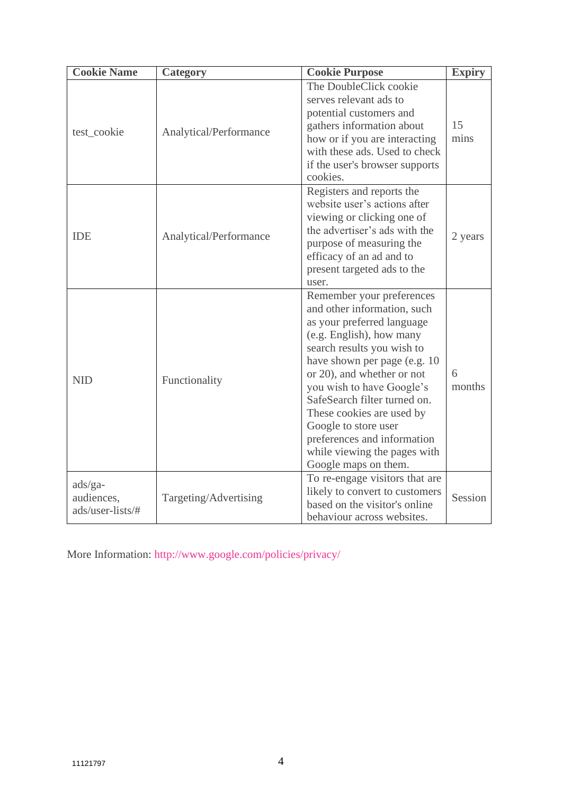| <b>Cookie Name</b>                          | <b>Category</b>        | <b>Cookie Purpose</b>                                                                                                                                                                                                                                                                                                                                                                                                   | <b>Expiry</b> |
|---------------------------------------------|------------------------|-------------------------------------------------------------------------------------------------------------------------------------------------------------------------------------------------------------------------------------------------------------------------------------------------------------------------------------------------------------------------------------------------------------------------|---------------|
| test_cookie                                 | Analytical/Performance | The DoubleClick cookie<br>serves relevant ads to<br>potential customers and<br>gathers information about<br>how or if you are interacting<br>with these ads. Used to check<br>if the user's browser supports<br>cookies.                                                                                                                                                                                                | 15<br>mins    |
| <b>IDE</b>                                  | Analytical/Performance | Registers and reports the<br>website user's actions after<br>viewing or clicking one of<br>the advertiser's ads with the<br>purpose of measuring the<br>efficacy of an ad and to<br>present targeted ads to the<br>user.                                                                                                                                                                                                | 2 years       |
| <b>NID</b>                                  | Functionality          | Remember your preferences<br>and other information, such<br>as your preferred language<br>(e.g. English), how many<br>search results you wish to<br>have shown per page (e.g. 10<br>or 20), and whether or not<br>you wish to have Google's<br>SafeSearch filter turned on.<br>These cookies are used by<br>Google to store user<br>preferences and information<br>while viewing the pages with<br>Google maps on them. | 6<br>months   |
| $ads/ga-$<br>audiences,<br>ads/user-lists/# | Targeting/Advertising  | To re-engage visitors that are<br>likely to convert to customers<br>based on the visitor's online<br>behaviour across websites.                                                                                                                                                                                                                                                                                         | Session       |

More Information:<http://www.google.com/policies/privacy/>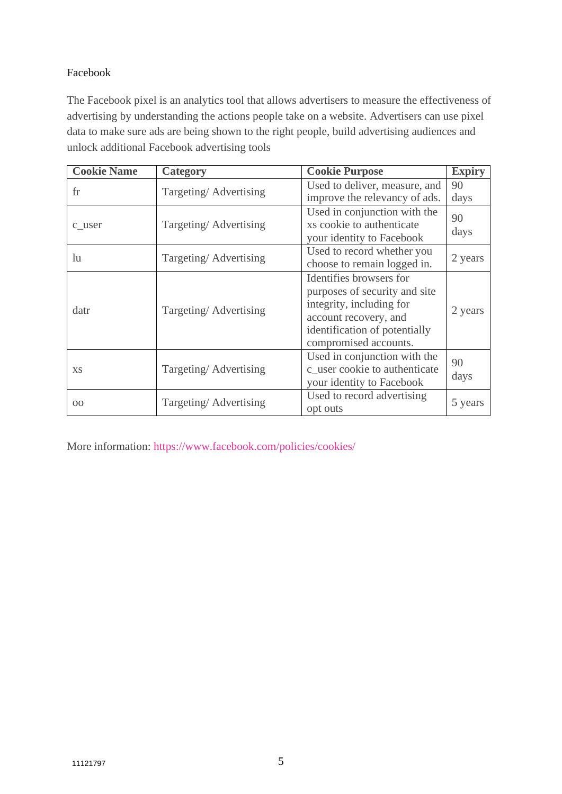# Facebook

The Facebook pixel is an analytics tool that allows advertisers to measure the effectiveness of advertising by understanding the actions people take on a website. Advertisers can use pixel data to make sure ads are being shown to the right people, build advertising audiences and unlock additional Facebook advertising tools

| <b>Cookie Name</b> | Category              | <b>Cookie Purpose</b>                                                                                                                                                   | <b>Expiry</b> |
|--------------------|-----------------------|-------------------------------------------------------------------------------------------------------------------------------------------------------------------------|---------------|
| fr                 | Targeting/Advertising | Used to deliver, measure, and<br>improve the relevancy of ads.                                                                                                          | 90<br>days    |
| c_user             | Targeting/Advertising | Used in conjunction with the<br>xs cookie to authenticate<br>your identity to Facebook                                                                                  | 90<br>days    |
| lu                 | Targeting/Advertising | Used to record whether you<br>choose to remain logged in.                                                                                                               | 2 years       |
| datr               | Targeting/Advertising | Identifies browsers for<br>purposes of security and site<br>integrity, including for<br>account recovery, and<br>identification of potentially<br>compromised accounts. | 2 years       |
| X <sub>S</sub>     | Targeting/Advertising | Used in conjunction with the<br>c_user cookie to authenticate<br>your identity to Facebook                                                                              | 90<br>days    |
| 0 <sup>0</sup>     | Targeting/Advertising | Used to record advertising<br>opt outs                                                                                                                                  | 5 years       |

More information:<https://www.facebook.com/policies/cookies/>